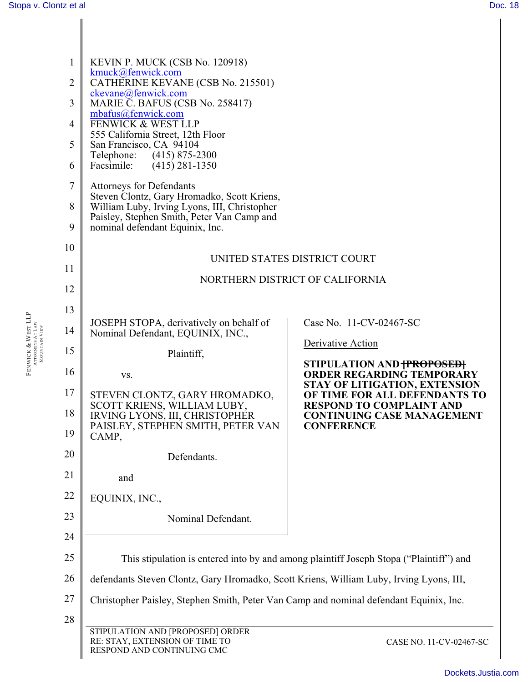| $\mathbf{1}$<br>$\overline{2}$<br>3 | KEVIN P. MUCK (CSB No. 120918)<br>kmuck@fenwick.com<br>CATHERINE KEVANE (CSB No. 215501)<br>ckevane@fenwick.com<br>MARIE C. BAFUS (CSB No. 258417)<br>mbafus@fenwick.com |                                                                       |  |  |  |
|-------------------------------------|--------------------------------------------------------------------------------------------------------------------------------------------------------------------------|-----------------------------------------------------------------------|--|--|--|
| 4<br>5                              | FENWICK & WEST LLP<br>555 California Street, 12th Floor<br>San Francisco, CA 94104                                                                                       |                                                                       |  |  |  |
| 6                                   | Telephone:<br>$(415)$ 875-2300<br>Facsimile:<br>$(415)$ 281-1350                                                                                                         |                                                                       |  |  |  |
| $\tau$                              | <b>Attorneys for Defendants</b><br>Steven Clontz, Gary Hromadko, Scott Kriens,                                                                                           |                                                                       |  |  |  |
| 8<br>9                              | William Luby, Irving Lyons, III, Christopher<br>Paisley, Stephen Smith, Peter Van Camp and<br>nominal defendant Equinix, Inc.                                            |                                                                       |  |  |  |
| 10                                  |                                                                                                                                                                          |                                                                       |  |  |  |
| 11                                  | UNITED STATES DISTRICT COURT                                                                                                                                             |                                                                       |  |  |  |
| 12                                  | NORTHERN DISTRICT OF CALIFORNIA                                                                                                                                          |                                                                       |  |  |  |
| 13                                  |                                                                                                                                                                          |                                                                       |  |  |  |
| 14                                  | JOSEPH STOPA, derivatively on behalf of<br>Nominal Defendant, EQUINIX, INC.,                                                                                             | Case No. 11-CV-02467-SC                                               |  |  |  |
| 15                                  | Plaintiff,                                                                                                                                                               | Derivative Action                                                     |  |  |  |
| 16                                  | VS.                                                                                                                                                                      | STIPULATION AND <del>[PROPOSED]</del><br>ORDER REGARDING TEMPORARY    |  |  |  |
| 17                                  | STEVEN CLONTZ, GARY HROMADKO,                                                                                                                                            | <b>STAY OF LITIGATION, EXTENSION</b><br>OF TIME FOR ALL DEFENDANTS TO |  |  |  |
| 18                                  | SCOTT KRIENS, WILLIAM LUBY,<br>IRVING LYONS, III, CHRISTOPHER                                                                                                            | <b>RESPOND TO COMPLAINT AND</b><br><b>CONTINUING CASE MANAGEMENT</b>  |  |  |  |
| 19                                  | PAISLEY, STEPHEN SMITH, PETER VAN<br>CAMP,                                                                                                                               | <b>CONFERENCE</b>                                                     |  |  |  |
| 20                                  | Defendants.                                                                                                                                                              |                                                                       |  |  |  |
| 21                                  | and                                                                                                                                                                      |                                                                       |  |  |  |
| 22                                  | EQUINIX, INC.,                                                                                                                                                           |                                                                       |  |  |  |
| 23                                  | Nominal Defendant.                                                                                                                                                       |                                                                       |  |  |  |
| 24                                  |                                                                                                                                                                          |                                                                       |  |  |  |
| 25                                  | This stipulation is entered into by and among plaintiff Joseph Stopa ("Plaintiff") and                                                                                   |                                                                       |  |  |  |
| 26                                  | defendants Steven Clontz, Gary Hromadko, Scott Kriens, William Luby, Irving Lyons, III,                                                                                  |                                                                       |  |  |  |
| 27                                  | Christopher Paisley, Stephen Smith, Peter Van Camp and nominal defendant Equinix, Inc.                                                                                   |                                                                       |  |  |  |
| 28                                  |                                                                                                                                                                          |                                                                       |  |  |  |
|                                     | STIPULATION AND [PROPOSED] ORDER<br>RE: STAY, EXTENSION OF TIME TO<br>RESPOND AND CONTINUING CMC                                                                         | CASE NO. 11-CV-02467-SC                                               |  |  |  |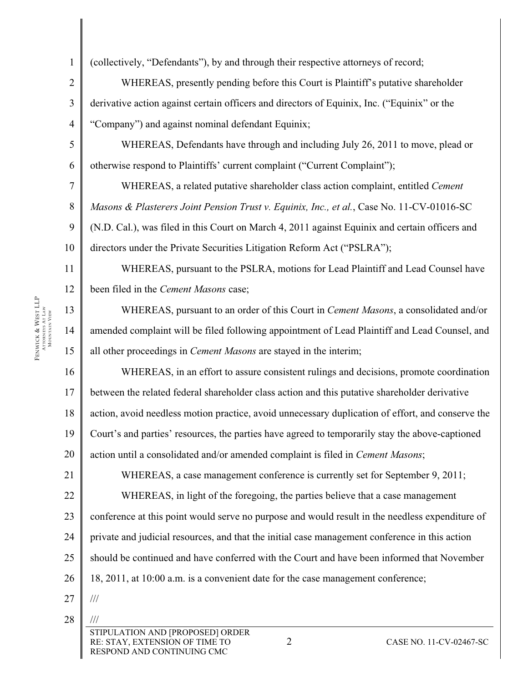| $\mathbf{1}$             | (collectively, "Defendants"), by and through their respective attorneys of record;                                                            |  |  |  |
|--------------------------|-----------------------------------------------------------------------------------------------------------------------------------------------|--|--|--|
| $\sqrt{2}$               | WHEREAS, presently pending before this Court is Plaintiff's putative shareholder                                                              |  |  |  |
| $\overline{\mathbf{3}}$  | derivative action against certain officers and directors of Equinix, Inc. ("Equinix" or the                                                   |  |  |  |
| $\overline{\mathcal{A}}$ | "Company") and against nominal defendant Equinix;                                                                                             |  |  |  |
| 5                        | WHEREAS, Defendants have through and including July 26, 2011 to move, plead or                                                                |  |  |  |
| 6                        | otherwise respond to Plaintiffs' current complaint ("Current Complaint");                                                                     |  |  |  |
| $\overline{7}$           | WHEREAS, a related putative shareholder class action complaint, entitled Cement                                                               |  |  |  |
| $8\,$                    | Masons & Plasterers Joint Pension Trust v. Equinix, Inc., et al., Case No. 11-CV-01016-SC                                                     |  |  |  |
| $\boldsymbol{9}$         | (N.D. Cal.), was filed in this Court on March 4, 2011 against Equinix and certain officers and                                                |  |  |  |
| 10                       | directors under the Private Securities Litigation Reform Act ("PSLRA");                                                                       |  |  |  |
| 11                       | WHEREAS, pursuant to the PSLRA, motions for Lead Plaintiff and Lead Counsel have                                                              |  |  |  |
| 12                       | been filed in the Cement Masons case;                                                                                                         |  |  |  |
| 13                       | WHEREAS, pursuant to an order of this Court in <i>Cement Masons</i> , a consolidated and/or                                                   |  |  |  |
| 14                       | amended complaint will be filed following appointment of Lead Plaintiff and Lead Counsel, and                                                 |  |  |  |
| 15                       | all other proceedings in <i>Cement Masons</i> are stayed in the interim;                                                                      |  |  |  |
| 16                       | WHEREAS, in an effort to assure consistent rulings and decisions, promote coordination                                                        |  |  |  |
| 17                       | between the related federal shareholder class action and this putative shareholder derivative                                                 |  |  |  |
| 18                       | action, avoid needless motion practice, avoid unnecessary duplication of effort, and conserve the                                             |  |  |  |
| 19                       | Court's and parties' resources, the parties have agreed to temporarily stay the above-captioned                                               |  |  |  |
| 20                       | action until a consolidated and/or amended complaint is filed in Cement Masons;                                                               |  |  |  |
| 21                       | WHEREAS, a case management conference is currently set for September 9, 2011;                                                                 |  |  |  |
| 22                       | WHEREAS, in light of the foregoing, the parties believe that a case management                                                                |  |  |  |
| 23                       | conference at this point would serve no purpose and would result in the needless expenditure of                                               |  |  |  |
| 24                       | private and judicial resources, and that the initial case management conference in this action                                                |  |  |  |
| 25                       | should be continued and have conferred with the Court and have been informed that November                                                    |  |  |  |
| 26                       | 18, 2011, at 10:00 a.m. is a convenient date for the case management conference;                                                              |  |  |  |
| 27                       | $\frac{1}{1}$                                                                                                                                 |  |  |  |
| 28                       |                                                                                                                                               |  |  |  |
|                          | STIPULATION AND [PROPOSED] ORDER<br>$\overline{2}$<br>RE: STAY, EXTENSION OF TIME TO<br>CASE NO. 11-CV-02467-SC<br>RESPOND AND CONTINUING CMC |  |  |  |

FENWICK & WEST LLP<br>Attorneys At Law<br>Mountain View Fenwick & West LLP<br>attorneys at Law MOUNTAIN VIEW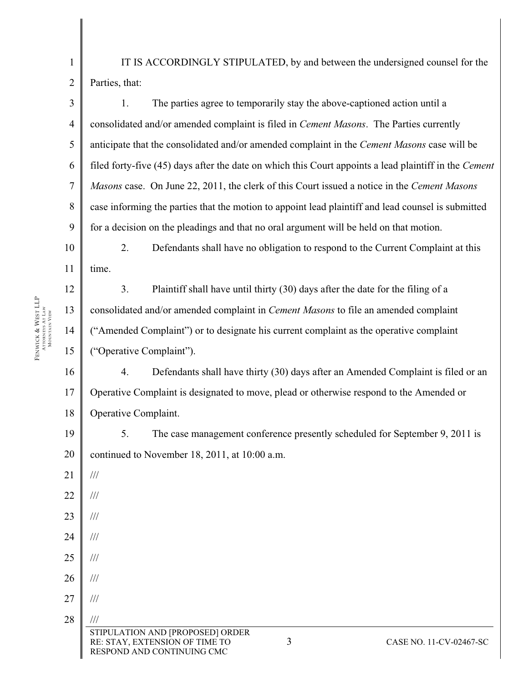IT IS ACCORDINGLY STIPULATED, by and between the undersigned counsel for the Parties, that:

3 4 5 6 7 8 9 1. The parties agree to temporarily stay the above-captioned action until a consolidated and/or amended complaint is filed in *Cement Masons*. The Parties currently anticipate that the consolidated and/or amended complaint in the *Cement Masons* case will be filed forty-five (45) days after the date on which this Court appoints a lead plaintiff in the *Cement Masons* case. On June 22, 2011, the clerk of this Court issued a notice in the *Cement Masons*  case informing the parties that the motion to appoint lead plaintiff and lead counsel is submitted for a decision on the pleadings and that no oral argument will be held on that motion.

10 11 2. Defendants shall have no obligation to respond to the Current Complaint at this time.

3. Plaintiff shall have until thirty (30) days after the date for the filing of a consolidated and/or amended complaint in *Cement Masons* to file an amended complaint ("Amended Complaint") or to designate his current complaint as the operative complaint ("Operative Complaint").

16 17 18 4. Defendants shall have thirty (30) days after an Amended Complaint is filed or an Operative Complaint is designated to move, plead or otherwise respond to the Amended or Operative Complaint.

19 20 5. The case management conference presently scheduled for September 9, 2011 is continued to November 18, 2011, at 10:00 a.m.

21 ///

22

Fenwick & West LLP<br>attorneys at Law MOUNTAIN VIEW

Fenwick & West LLP<br>Attorneys At Law<br>Mountain View

12

13

14

15

1

 $\overline{2}$ 

23 ///

///

- 24 ///
- 25 ///
- 26 /// ///
- 27 28 STIPULATION AND [PROPOSED] ORDER RE: STAY, EXTENSION OF TIME TO RESPOND AND CONTINUING CMC ///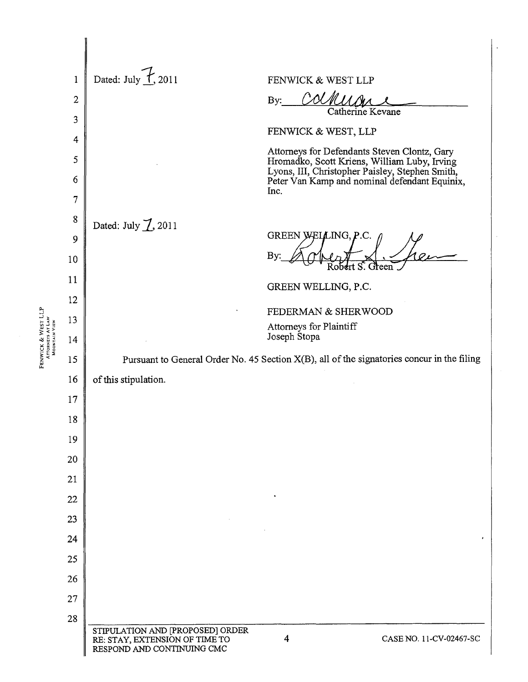|                    | $\mathbf 1$    | Dated: July $\overline{f}$ , 2011<br>FENWICK & WEST LLP                                                                                                                                          |
|--------------------|----------------|--------------------------------------------------------------------------------------------------------------------------------------------------------------------------------------------------|
|                    | $\overline{2}$ | By:                                                                                                                                                                                              |
|                    | 3              | Catherine Kevane                                                                                                                                                                                 |
|                    | $\overline{4}$ | FENWICK & WEST, LLP                                                                                                                                                                              |
|                    | 5<br>6         | Attorneys for Defendants Steven Clontz, Gary<br>Hromadko, Scott Kriens, William Luby, Irving<br>Lyons, III, Christopher Paisley, Stephen Smith,<br>Peter Van Kamp and nominal defendant Equinix, |
|                    | $\overline{7}$ | Inc.                                                                                                                                                                                             |
|                    | 8              |                                                                                                                                                                                                  |
|                    | 9              | Dated: July $\cancel{1}$ , 2011<br>GREEN WELLING, P.C.                                                                                                                                           |
|                    | 10             | <b>By</b><br>obert S. Green                                                                                                                                                                      |
|                    | 11             | GREEN WELLING, P.C.                                                                                                                                                                              |
|                    | 12             | FEDERMAN & SHERWOOD                                                                                                                                                                              |
|                    | 13             | Attorneys for Plaintiff                                                                                                                                                                          |
| FENWICK & WEST LLP | 14             | Joseph Stopa                                                                                                                                                                                     |
|                    | 15             | Pursuant to General Order No. 45 Section X(B), all of the signatories concur in the filing                                                                                                       |
|                    | 16             | of this stipulation.                                                                                                                                                                             |
|                    | 17             |                                                                                                                                                                                                  |
|                    | 18             |                                                                                                                                                                                                  |
|                    | 19             |                                                                                                                                                                                                  |
|                    | 20             |                                                                                                                                                                                                  |
|                    | 21             |                                                                                                                                                                                                  |
|                    | 22             |                                                                                                                                                                                                  |
|                    | 23             |                                                                                                                                                                                                  |
|                    | 24             |                                                                                                                                                                                                  |
|                    | 25             |                                                                                                                                                                                                  |
|                    | 26             |                                                                                                                                                                                                  |
|                    | 27             |                                                                                                                                                                                                  |
|                    | 28             |                                                                                                                                                                                                  |
|                    |                | STIPULATION AND [PROPOSED] ORDER<br>$\overline{4}$<br>RE: STAY, EXTENSION OF TIME TO<br>CASE NO. 11-CV-02467-SC<br>RESPOND AND CONTINUING CMC                                                    |

 $\ddot{\phantom{0}}$